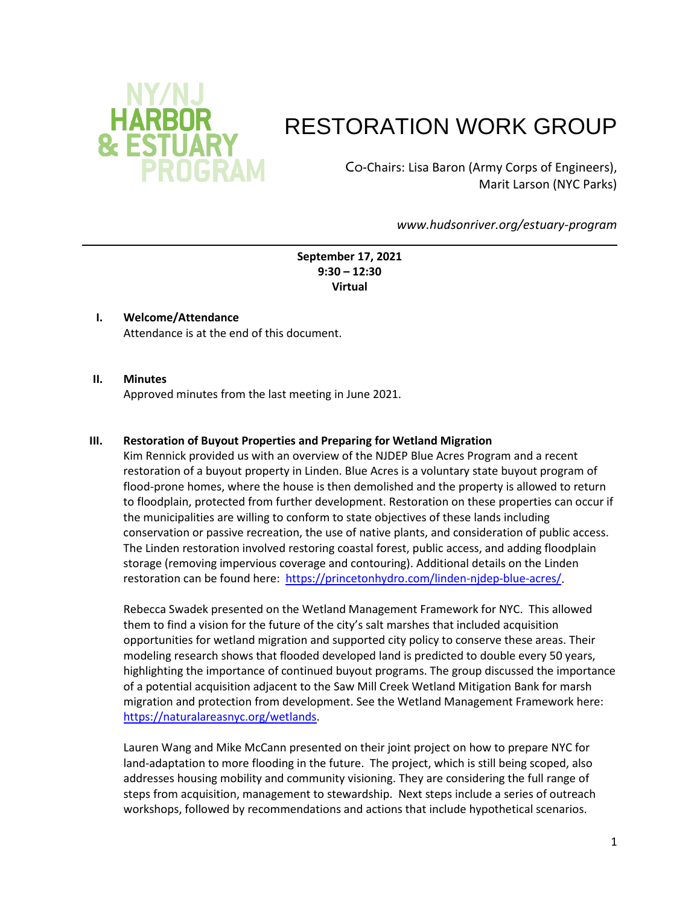

# RESTORATION WORK GROUP

Co-Chairs: Lisa Baron (Army Corps of Engineers), Marit Larson (NYC Parks)

*www.hudsonriver.org/estuary-program*

**September 17, 2021 9:30 – 12:30 Virtual**

#### **I. Welcome/Attendance**

Attendance is at the end of this document.

#### **II. Minutes**

Approved minutes from the last meeting in June 2021.

#### **III. Restoration of Buyout Properties and Preparing for Wetland Migration**

Kim Rennick provided us with an overview of the NJDEP Blue Acres Program and a recent restoration of a buyout property in Linden. Blue Acres is a voluntary state buyout program of flood-prone homes, where the house is then demolished and the property is allowed to return to floodplain, protected from further development. Restoration on these properties can occur if the municipalities are willing to conform to state objectives of these lands including conservation or passive recreation, the use of native plants, and consideration of public access. The Linden restoration involved restoring coastal forest, public access, and adding floodplain storage (removing impervious coverage and contouring). Additional details on the Linden restoration can be found here: [https://princetonhydro.com/linden-njdep-blue-acres/.](https://princetonhydro.com/linden-njdep-blue-acres/)

Rebecca Swadek presented on the Wetland Management Framework for NYC. This allowed them to find a vision for the future of the city's salt marshes that included acquisition opportunities for wetland migration and supported city policy to conserve these areas. Their modeling research shows that flooded developed land is predicted to double every 50 years, highlighting the importance of continued buyout programs. The group discussed the importance of a potential acquisition adjacent to the Saw Mill Creek Wetland Mitigation Bank for marsh migration and protection from development. See the Wetland Management Framework here: [https://naturalareasnyc.org/wetlands.](https://naturalareasnyc.org/wetlands)

Lauren Wang and Mike McCann presented on their joint project on how to prepare NYC for land-adaptation to more flooding in the future. The project, which is still being scoped, also addresses housing mobility and community visioning. They are considering the full range of steps from acquisition, management to stewardship. Next steps include a series of outreach workshops, followed by recommendations and actions that include hypothetical scenarios.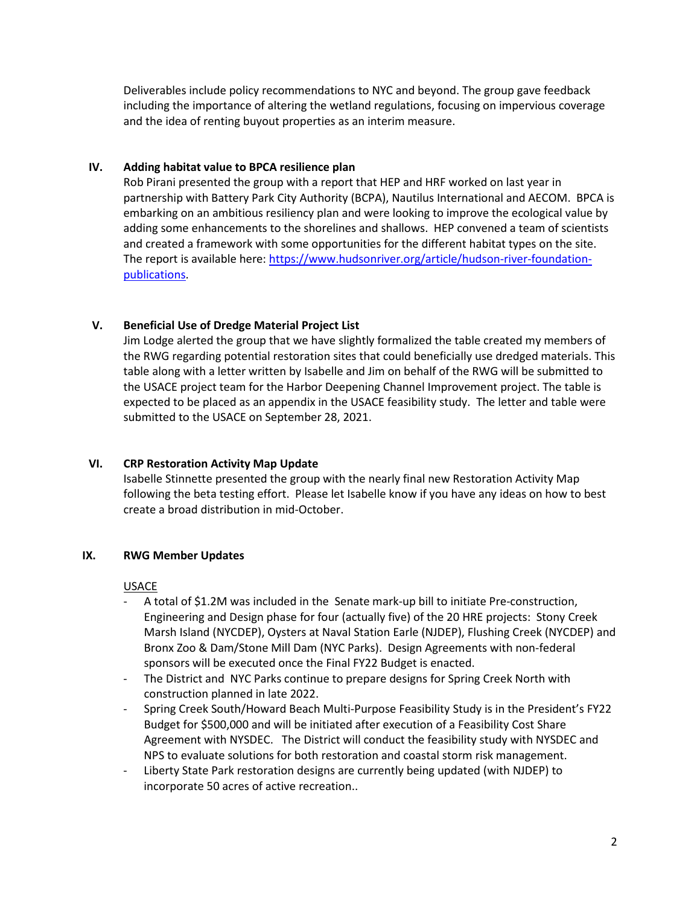Deliverables include policy recommendations to NYC and beyond. The group gave feedback including the importance of altering the wetland regulations, focusing on impervious coverage and the idea of renting buyout properties as an interim measure.

## **IV. Adding habitat value to BPCA resilience plan**

Rob Pirani presented the group with a report that HEP and HRF worked on last year in partnership with Battery Park City Authority (BCPA), Nautilus International and AECOM. BPCA is embarking on an ambitious resiliency plan and were looking to improve the ecological value by adding some enhancements to the shorelines and shallows. HEP convened a team of scientists and created a framework with some opportunities for the different habitat types on the site. The report is available here: [https://www.hudsonriver.org/article/hudson-river-foundation](https://www.hudsonriver.org/article/hudson-river-foundation-publications)[publications.](https://www.hudsonriver.org/article/hudson-river-foundation-publications)

## **V. Beneficial Use of Dredge Material Project List**

Jim Lodge alerted the group that we have slightly formalized the table created my members of the RWG regarding potential restoration sites that could beneficially use dredged materials. This table along with a letter written by Isabelle and Jim on behalf of the RWG will be submitted to the USACE project team for the Harbor Deepening Channel Improvement project. The table is expected to be placed as an appendix in the USACE feasibility study. The letter and table were submitted to the USACE on September 28, 2021.

#### **VI. CRP Restoration Activity Map Update**

Isabelle Stinnette presented the group with the nearly final new Restoration Activity Map following the beta testing effort. Please let Isabelle know if you have any ideas on how to best create a broad distribution in mid-October.

#### **IX. RWG Member Updates**

#### USACE

- A total of \$1.2M was included in the Senate mark-up bill to initiate Pre-construction, Engineering and Design phase for four (actually five) of the 20 HRE projects: Stony Creek Marsh Island (NYCDEP), Oysters at Naval Station Earle (NJDEP), Flushing Creek (NYCDEP) and Bronx Zoo & Dam/Stone Mill Dam (NYC Parks). Design Agreements with non-federal sponsors will be executed once the Final FY22 Budget is enacted.
- The District and NYC Parks continue to prepare designs for Spring Creek North with construction planned in late 2022.
- Spring Creek South/Howard Beach Multi-Purpose Feasibility Study is in the President's FY22 Budget for \$500,000 and will be initiated after execution of a Feasibility Cost Share Agreement with NYSDEC. The District will conduct the feasibility study with NYSDEC and NPS to evaluate solutions for both restoration and coastal storm risk management.
- Liberty State Park restoration designs are currently being updated (with NJDEP) to incorporate 50 acres of active recreation..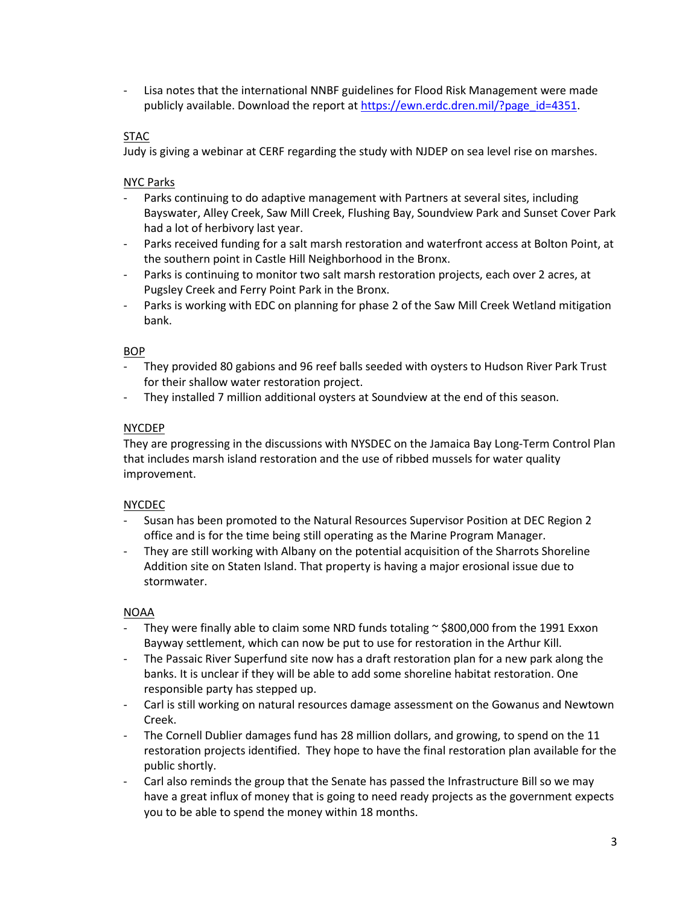Lisa notes that the international NNBF guidelines for Flood Risk Management were made publicly available. Download the report a[t https://ewn.erdc.dren.mil/?page\\_id=4351.](https://ewn.erdc.dren.mil/?page_id=4351)

#### STAC

Judy is giving a webinar at CERF regarding the study with NJDEP on sea level rise on marshes.

NYC Parks

- Parks continuing to do adaptive management with Partners at several sites, including Bayswater, Alley Creek, Saw Mill Creek, Flushing Bay, Soundview Park and Sunset Cover Park had a lot of herbivory last year.
- Parks received funding for a salt marsh restoration and waterfront access at Bolton Point, at the southern point in Castle Hill Neighborhood in the Bronx.
- Parks is continuing to monitor two salt marsh restoration projects, each over 2 acres, at Pugsley Creek and Ferry Point Park in the Bronx.
- Parks is working with EDC on planning for phase 2 of the Saw Mill Creek Wetland mitigation bank.

#### BOP

- They provided 80 gabions and 96 reef balls seeded with oysters to Hudson River Park Trust for their shallow water restoration project.
- They installed 7 million additional oysters at Soundview at the end of this season.

#### NYCDEP

They are progressing in the discussions with NYSDEC on the Jamaica Bay Long-Term Control Plan that includes marsh island restoration and the use of ribbed mussels for water quality improvement.

#### NYCDEC

- Susan has been promoted to the Natural Resources Supervisor Position at DEC Region 2 office and is for the time being still operating as the Marine Program Manager.
- They are still working with Albany on the potential acquisition of the Sharrots Shoreline Addition site on Staten Island. That property is having a major erosional issue due to stormwater.

## NOAA

- They were finally able to claim some NRD funds totaling  $\sim$  \$800,000 from the 1991 Exxon Bayway settlement, which can now be put to use for restoration in the Arthur Kill.
- The Passaic River Superfund site now has a draft restoration plan for a new park along the banks. It is unclear if they will be able to add some shoreline habitat restoration. One responsible party has stepped up.
- Carl is still working on natural resources damage assessment on the Gowanus and Newtown Creek.
- The Cornell Dublier damages fund has 28 million dollars, and growing, to spend on the 11 restoration projects identified. They hope to have the final restoration plan available for the public shortly.
- Carl also reminds the group that the Senate has passed the Infrastructure Bill so we may have a great influx of money that is going to need ready projects as the government expects you to be able to spend the money within 18 months.